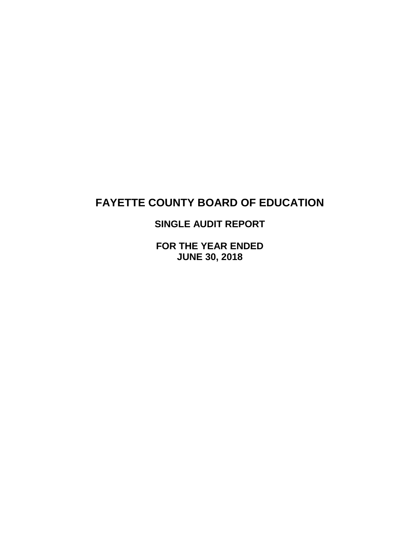## **SINGLE AUDIT REPORT**

**FOR THE YEAR ENDED JUNE 30, 2018**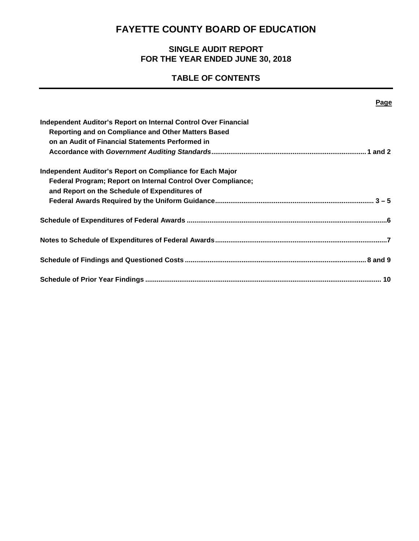## **SINGLE AUDIT REPORT FOR THE YEAR ENDED JUNE 30, 2018**

## **TABLE OF CONTENTS**

| Page                                                            |
|-----------------------------------------------------------------|
| Independent Auditor's Report on Internal Control Over Financial |
| Reporting and on Compliance and Other Matters Based             |
| on an Audit of Financial Statements Performed in                |
|                                                                 |
| Independent Auditor's Report on Compliance for Each Major       |
| Federal Program; Report on Internal Control Over Compliance;    |
| and Report on the Schedule of Expenditures of                   |
|                                                                 |
|                                                                 |
|                                                                 |
|                                                                 |
|                                                                 |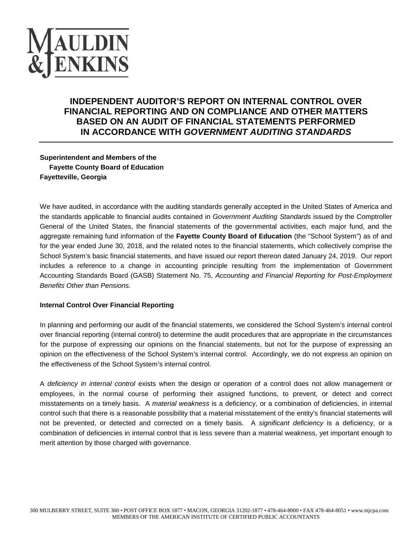

## **INDEPENDENT AUDITOR'S REPORT ON INTERNAL CONTROL OVER FINANCIAL REPORTING AND ON COMPLIANCE AND OTHER MATTERS BASED ON AN AUDIT OF FINANCIAL STATEMENTS PERFORMED IN ACCORDANCE WITH** *GOVERNMENT AUDITING STANDARDS*

**Superintendent and Members of the Fayette County Board of Education Fayetteville, Georgia**

We have audited, in accordance with the auditing standards generally accepted in the United States of America and the standards applicable to financial audits contained in *Government Auditing Standards* issued by the Comptroller General of the United States, the financial statements of the governmental activities, each major fund, and the aggregate remaining fund information of the **Fayette County Board of Education** (the "School System") as of and for the year ended June 30, 2018, and the related notes to the financial statements, which collectively comprise the School System's basic financial statements, and have issued our report thereon dated January 24, 2019. Our report includes a reference to a change in accounting principle resulting from the implementation of Government Accounting Standards Board (GASB) Statement No. 75, *Accounting and Financial Reporting for Post-Employment Benefits Other than Pensions.*

#### **Internal Control Over Financial Reporting**

In planning and performing our audit of the financial statements, we considered the School System's internal control over financial reporting (internal control) to determine the audit procedures that are appropriate in the circumstances for the purpose of expressing our opinions on the financial statements, but not for the purpose of expressing an opinion on the effectiveness of the School System's internal control. Accordingly, we do not express an opinion on the effectiveness of the School System's internal control.

A *deficiency in internal control* exists when the design or operation of a control does not allow management or employees, in the normal course of performing their assigned functions, to prevent, or detect and correct misstatements on a timely basis. A *material weakness* is a deficiency, or a combination of deficiencies, in internal control such that there is a reasonable possibility that a material misstatement of the entity's financial statements will not be prevented, or detected and corrected on a timely basis. A *significant deficiency* is a deficiency, or a combination of deficiencies in internal control that is less severe than a material weakness, yet important enough to merit attention by those charged with governance.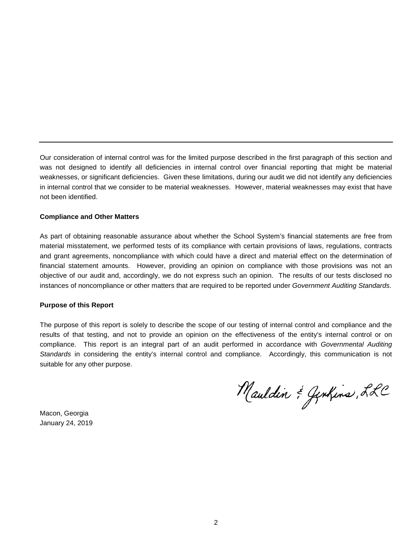Our consideration of internal control was for the limited purpose described in the first paragraph of this section and was not designed to identify all deficiencies in internal control over financial reporting that might be material weaknesses, or significant deficiencies. Given these limitations, during our audit we did not identify any deficiencies in internal control that we consider to be material weaknesses. However, material weaknesses may exist that have not been identified.

#### **Compliance and Other Matters**

As part of obtaining reasonable assurance about whether the School System's financial statements are free from material misstatement, we performed tests of its compliance with certain provisions of laws, regulations, contracts and grant agreements, noncompliance with which could have a direct and material effect on the determination of financial statement amounts. However, providing an opinion on compliance with those provisions was not an objective of our audit and, accordingly, we do not express such an opinion. The results of our tests disclosed no instances of noncompliance or other matters that are required to be reported under *Government Auditing Standards.*

#### **Purpose of this Report**

The purpose of this report is solely to describe the scope of our testing of internal control and compliance and the results of that testing, and not to provide an opinion on the effectiveness of the entity's internal control or on compliance. This report is an integral part of an audit performed in accordance with *Governmental Auditing Standards* in considering the entity's internal control and compliance. Accordingly, this communication is not suitable for any other purpose.

Mauldin & Genhins, LLC

Macon, Georgia January 24, 2019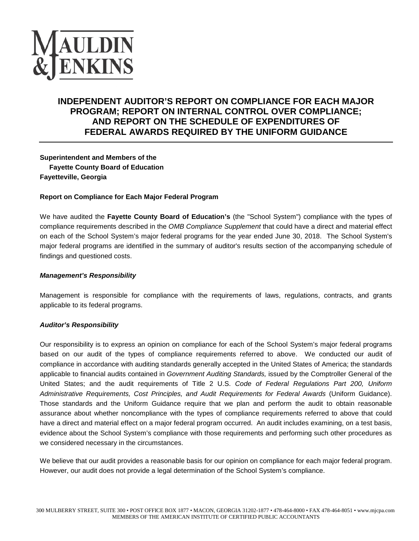

## **INDEPENDENT AUDITOR'S REPORT ON COMPLIANCE FOR EACH MAJOR PROGRAM; REPORT ON INTERNAL CONTROL OVER COMPLIANCE; AND REPORT ON THE SCHEDULE OF EXPENDITURES OF FEDERAL AWARDS REQUIRED BY THE UNIFORM GUIDANCE**

**Superintendent and Members of the Fayette County Board of Education Fayetteville, Georgia**

#### **Report on Compliance for Each Major Federal Program**

We have audited the **Fayette County Board of Education's** (the "School System") compliance with the types of compliance requirements described in the *OMB Compliance Supplement* that could have a direct and material effect on each of the School System's major federal programs for the year ended June 30, 2018. The School System's major federal programs are identified in the summary of auditor's results section of the accompanying schedule of findings and questioned costs.

#### *Management's Responsibility*

Management is responsible for compliance with the requirements of laws, regulations, contracts, and grants applicable to its federal programs.

#### *Auditor's Responsibility*

Our responsibility is to express an opinion on compliance for each of the School System's major federal programs based on our audit of the types of compliance requirements referred to above. We conducted our audit of compliance in accordance with auditing standards generally accepted in the United States of America; the standards applicable to financial audits contained in *Government Auditing Standards,* issued by the Comptroller General of the United States; and the audit requirements of Title 2 U.S. *Code of Federal Regulations Part 200, Uniform Administrative Requirements, Cost Principles, and Audit Requirements for Federal Awards* (Uniform Guidance). Those standards and the Uniform Guidance require that we plan and perform the audit to obtain reasonable assurance about whether noncompliance with the types of compliance requirements referred to above that could have a direct and material effect on a major federal program occurred. An audit includes examining, on a test basis, evidence about the School System's compliance with those requirements and performing such other procedures as we considered necessary in the circumstances.

We believe that our audit provides a reasonable basis for our opinion on compliance for each major federal program. However, our audit does not provide a legal determination of the School System's compliance.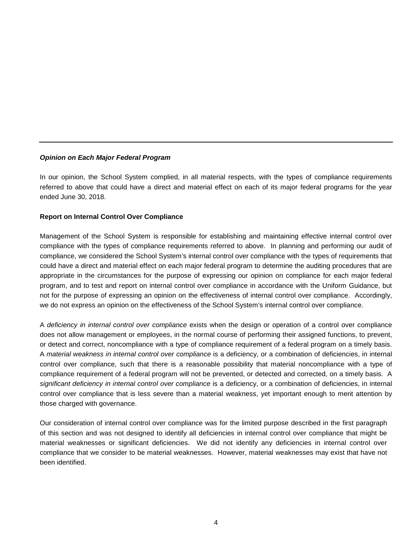#### *Opinion on Each Major Federal Program*

In our opinion, the School System complied, in all material respects, with the types of compliance requirements referred to above that could have a direct and material effect on each of its major federal programs for the year ended June 30, 2018.

#### **Report on Internal Control Over Compliance**

Management of the School System is responsible for establishing and maintaining effective internal control over compliance with the types of compliance requirements referred to above. In planning and performing our audit of compliance, we considered the School System's internal control over compliance with the types of requirements that could have a direct and material effect on each major federal program to determine the auditing procedures that are appropriate in the circumstances for the purpose of expressing our opinion on compliance for each major federal program, and to test and report on internal control over compliance in accordance with the Uniform Guidance, but not for the purpose of expressing an opinion on the effectiveness of internal control over compliance. Accordingly, we do not express an opinion on the effectiveness of the School System's internal control over compliance.

A *deficiency in internal control over compliance* exists when the design or operation of a control over compliance does not allow management or employees, in the normal course of performing their assigned functions, to prevent, or detect and correct, noncompliance with a type of compliance requirement of a federal program on a timely basis. A *material weakness in internal control over compliance* is a deficiency, or a combination of deficiencies, in internal control over compliance, such that there is a reasonable possibility that material noncompliance with a type of compliance requirement of a federal program will not be prevented, or detected and corrected, on a timely basis. A significant deficiency in internal control over compliance is a deficiency, or a combination of deficiencies, in internal control over compliance that is less severe than a material weakness, yet important enough to merit attention by those charged with governance.

Our consideration of internal control over compliance was for the limited purpose described in the first paragraph of this section and was not designed to identify all deficiencies in internal control over compliance that might be material weaknesses or significant deficiencies. We did not identify any deficiencies in internal control over compliance that we consider to be material weaknesses. However, material weaknesses may exist that have not been identified.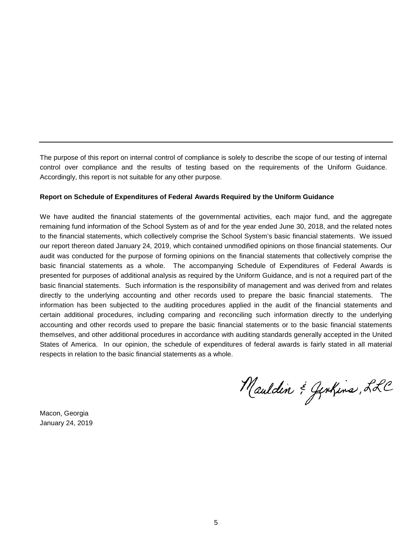The purpose of this report on internal control of compliance is solely to describe the scope of our testing of internal control over compliance and the results of testing based on the requirements of the Uniform Guidance. Accordingly, this report is not suitable for any other purpose.

#### **Report on Schedule of Expenditures of Federal Awards Required by the Uniform Guidance**

We have audited the financial statements of the governmental activities, each major fund, and the aggregate remaining fund information of the School System as of and for the year ended June 30, 2018, and the related notes to the financial statements, which collectively comprise the School System's basic financial statements. We issued our report thereon dated January 24, 2019, which contained unmodified opinions on those financial statements. Our audit was conducted for the purpose of forming opinions on the financial statements that collectively comprise the basic financial statements as a whole. The accompanying Schedule of Expenditures of Federal Awards is presented for purposes of additional analysis as required by the Uniform Guidance, and is not a required part of the basic financial statements. Such information is the responsibility of management and was derived from and relates directly to the underlying accounting and other records used to prepare the basic financial statements. The information has been subjected to the auditing procedures applied in the audit of the financial statements and certain additional procedures, including comparing and reconciling such information directly to the underlying accounting and other records used to prepare the basic financial statements or to the basic financial statements themselves, and other additional procedures in accordance with auditing standards generally accepted in the United States of America. In our opinion, the schedule of expenditures of federal awards is fairly stated in all material respects in relation to the basic financial statements as a whole.

Mauldin & Jenkins, LLC

Macon, Georgia January 24, 2019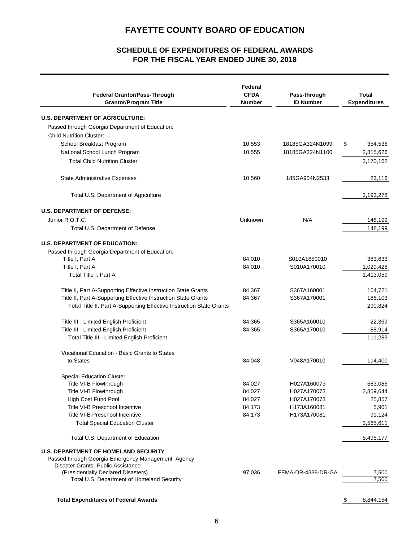### **FOR THE FISCAL YEAR ENDED JUNE 30, 2018 SCHEDULE OF EXPENDITURES OF FEDERAL AWARDS**

| <b>Federal Grantor/Pass-Through</b><br><b>Grantor/Program Title</b>                      | Federal<br><b>CFDA</b><br>Number | Pass-through<br><b>ID Number</b> | <b>Total</b><br><b>Expenditures</b> |
|------------------------------------------------------------------------------------------|----------------------------------|----------------------------------|-------------------------------------|
| <b>U.S. DEPARTMENT OF AGRICULTURE:</b>                                                   |                                  |                                  |                                     |
| Passed through Georgia Department of Education:                                          |                                  |                                  |                                     |
| <b>Child Nutrition Cluster:</b>                                                          |                                  |                                  |                                     |
| School Breakfast Program                                                                 | 10.553                           | 18185GA324N1099                  | \$<br>354,536                       |
| National School Lunch Program                                                            | 10.555                           | 18185GA324N1100                  | 2,815,626                           |
| <b>Total Child Nutrition Cluster</b>                                                     |                                  |                                  | 3,170,162                           |
| State Administrative Expenses                                                            | 10.560                           | 185GA904N2533                    | 23,116                              |
| Total U.S. Department of Agriculture                                                     |                                  |                                  | 3,193,278                           |
| <b>U.S. DEPARTMENT OF DEFENSE:</b>                                                       |                                  |                                  |                                     |
| Junior R.O.T.C.                                                                          | Unknown                          | N/A                              | 148,199                             |
| Total U.S. Department of Defense                                                         |                                  |                                  | 148,199                             |
|                                                                                          |                                  |                                  |                                     |
| <b>U.S. DEPARTMENT OF EDUCATION:</b>                                                     |                                  |                                  |                                     |
| Passed through Georgia Department of Education:                                          |                                  |                                  |                                     |
| Title I, Part A                                                                          | 84.010                           | S010A1650010                     | 383,633                             |
| Title I, Part A                                                                          | 84.010                           | S010A170010                      | 1,029,426                           |
| Total Title I, Part A                                                                    |                                  |                                  | 1,413,059                           |
| Title II, Part A-Supporting Effective Instruction State Grants                           | 84.367                           | S367A160001                      | 104,721                             |
| Title II, Part A-Supporting Effective Instruction State Grants                           | 84.367                           | S367A170001                      | 186,103                             |
| Total Title II, Part A-Supporting Effective Instruction State Grants                     |                                  |                                  | 290,824                             |
| Title III - Limited English Proficient                                                   | 84.365                           | S365A160010                      | 22,369                              |
| Title III - Limited English Proficient                                                   | 84.365                           | S365A170010                      | 88,914                              |
| Total Title III - Limited English Proficient                                             |                                  |                                  | 111,283                             |
| Vocational Education - Basic Grants to States                                            |                                  |                                  |                                     |
| to States                                                                                | 84.048                           | V048A170010                      | 114,400                             |
| <b>Special Education Cluster</b>                                                         |                                  |                                  |                                     |
| Title VI-B Flowthrough                                                                   | 84.027                           | H027A160073                      | 583,085                             |
| Title VI-B Flowthrough                                                                   | 84.027                           | H027A170073                      | 2,859,644                           |
| High Cost Fund Pool                                                                      | 84.027                           | H027A170073                      | 25,857                              |
| Title VI-B Preschool Incentive                                                           | 84.173                           | H173A160081                      | 5,901                               |
| Title VI-B Preschool Incentive                                                           | 84.173                           | H173A170081                      | 91,124                              |
| <b>Total Special Education Cluster</b>                                                   |                                  |                                  | 3,565,611                           |
| Total U.S. Department of Education                                                       |                                  |                                  | 5,495,177                           |
| <b>U.S. DEPARTMENT OF HOMELAND SECURITY</b>                                              |                                  |                                  |                                     |
| Passed through Georgia Emergency Management Agency<br>Disaster Grants- Public Assistance |                                  |                                  |                                     |
| (Presidentially Declared Disasters)                                                      | 97.036                           | FEMA-DR-4338-DR-GA               | 7,500                               |
| Total U.S. Department of Homeland Security                                               |                                  |                                  | 7,500                               |
|                                                                                          |                                  |                                  |                                     |
| <b>Total Expenditures of Federal Awards</b>                                              |                                  |                                  | \$<br>8,844,154                     |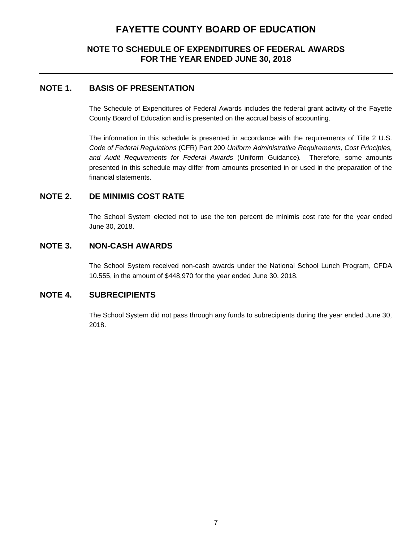### **NOTE TO SCHEDULE OF EXPENDITURES OF FEDERAL AWARDS FOR THE YEAR ENDED JUNE 30, 2018**

### **NOTE 1. BASIS OF PRESENTATION**

The Schedule of Expenditures of Federal Awards includes the federal grant activity of the Fayette County Board of Education and is presented on the accrual basis of accounting.

The information in this schedule is presented in accordance with the requirements of Title 2 U.S. *Code of Federal Regulations* (CFR) Part 200 *Uniform Administrative Requirements, Cost Principles, and Audit Requirements for Federal Awards* (Uniform Guidance)*.* Therefore, some amounts presented in this schedule may differ from amounts presented in or used in the preparation of the financial statements.

### **NOTE 2. DE MINIMIS COST RATE**

The School System elected not to use the ten percent de minimis cost rate for the year ended June 30, 2018.

### **NOTE 3. NON-CASH AWARDS**

The School System received non-cash awards under the National School Lunch Program, CFDA 10.555, in the amount of \$448,970 for the year ended June 30, 2018.

### **NOTE 4. SUBRECIPIENTS**

The School System did not pass through any funds to subrecipients during the year ended June 30, 2018.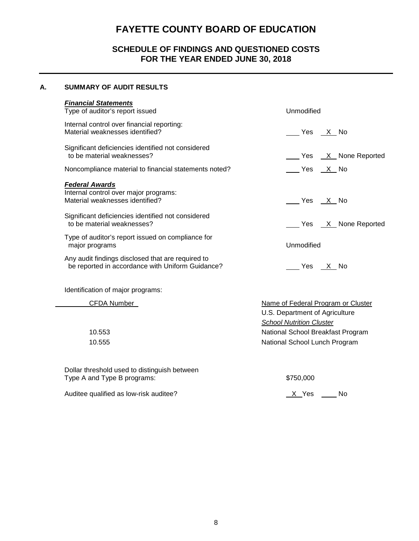### **SCHEDULE OF FINDINGS AND QUESTIONED COSTS FOR THE YEAR ENDED JUNE 30, 2018**

#### **A. SUMMARY OF AUDIT RESULTS**

| <b>Financial Statements</b><br>Type of auditor's report issued                                                                                          | Unmodified                                                           |  |  |
|---------------------------------------------------------------------------------------------------------------------------------------------------------|----------------------------------------------------------------------|--|--|
| Internal control over financial reporting:<br>Material weaknesses identified?                                                                           | Yes X No                                                             |  |  |
| Significant deficiencies identified not considered<br>to be material weaknesses?                                                                        | Yes <u>X</u> None Reported                                           |  |  |
| Noncompliance material to financial statements noted?                                                                                                   | Yes X No                                                             |  |  |
| <b>Federal Awards</b><br>Internal control over major programs:<br>Material weaknesses identified?<br>Significant deficiencies identified not considered | Yes X No                                                             |  |  |
| to be material weaknesses?                                                                                                                              | Yes X None Reported                                                  |  |  |
| Type of auditor's report issued on compliance for<br>major programs                                                                                     | <b>Unmodified</b>                                                    |  |  |
| Any audit findings disclosed that are required to<br>be reported in accordance with Uniform Guidance?                                                   | Yes X No                                                             |  |  |
| Identification of major programs:                                                                                                                       |                                                                      |  |  |
| CFDA Number                                                                                                                                             | Name of Federal Program or Cluster<br>U.S. Department of Agriculture |  |  |

Dollar threshold used to distinguish between Type A and Type B programs:  $$750,000$ 

Auditee qualified as low-risk auditee? Auditee and the Moscow of the Moscow Moscow Moscow Moscow No. X Yes Auditee 2

10.553 National School Breakfast Program 10.555 National School Lunch Program

*School Nutrition Cluster*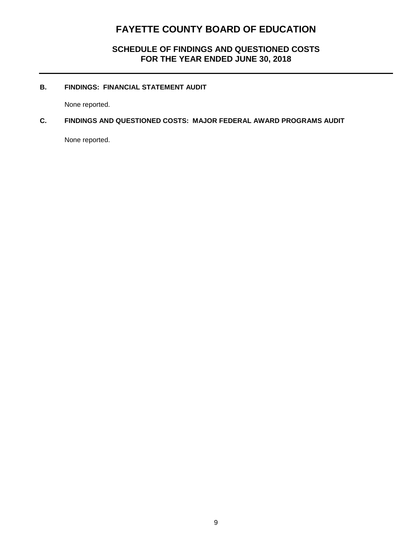### **SCHEDULE OF FINDINGS AND QUESTIONED COSTS FOR THE YEAR ENDED JUNE 30, 2018**

#### **B. FINDINGS: FINANCIAL STATEMENT AUDIT**

None reported.

### **C. FINDINGS AND QUESTIONED COSTS: MAJOR FEDERAL AWARD PROGRAMS AUDIT**

None reported.